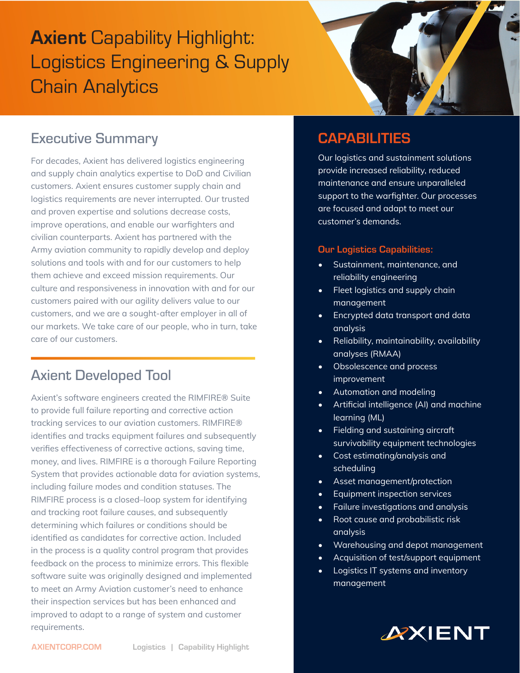# **Axient Capability Highlight:** Logistics Engineering & Supply Chain Analytics



## Executive Summary

For decades, Axient has delivered logistics engineering and supply chain analytics expertise to DoD and Civilian customers. Axient ensures customer supply chain and logistics requirements are never interrupted. Our trusted and proven expertise and solutions decrease costs, improve operations, and enable our warfighters and civilian counterparts. Axient has partnered with the Army aviation community to rapidly develop and deploy solutions and tools with and for our customers to help them achieve and exceed mission requirements. Our culture and responsiveness in innovation with and for our customers paired with our agility delivers value to our customers, and we are a sought-after employer in all of our markets. We take care of our people, who in turn, take care of our customers.

# Axient Developed Tool

Axient's software engineers created the RIMFIRE® Suite to provide full failure reporting and corrective action tracking services to our aviation customers. RIMFIRE® identifies and tracks equipment failures and subsequently verifies effectiveness of corrective actions, saving time, money, and lives. RIMFIRE is a thorough Failure Reporting System that provides actionable data for aviation systems, including failure modes and condition statuses. The RIMFIRE process is a closed–loop system for identifying and tracking root failure causes, and subsequently determining which failures or conditions should be identified as candidates for corrective action. Included in the process is a quality control program that provides feedback on the process to minimize errors. This flexible software suite was originally designed and implemented to meet an Army Aviation customer's need to enhance their inspection services but has been enhanced and improved to adapt to a range of system and customer requirements.

## **CAPABILITIES**

Our logistics and sustainment solutions provide increased reliability, reduced maintenance and ensure unparalleled support to the warfighter. Our processes are focused and adapt to meet our customer's demands.

#### Our Logistics Capabilities:

- Sustainment, maintenance, and reliability engineering
- Fleet logistics and supply chain management
- Encrypted data transport and data analysis
- Reliability, maintainability, availability analyses (RMAA)
- Obsolescence and process improvement
- Automation and modeling
- Artificial intelligence (AI) and machine learning (ML)
- Fielding and sustaining aircraft survivability equipment technologies
- Cost estimating/analysis and scheduling
- Asset management/protection
- Equipment inspection services
- Failure investigations and analysis
- Root cause and probabilistic risk analysis
- Warehousing and depot management
- Acquisition of test/support equipment
- Logistics IT systems and inventory management